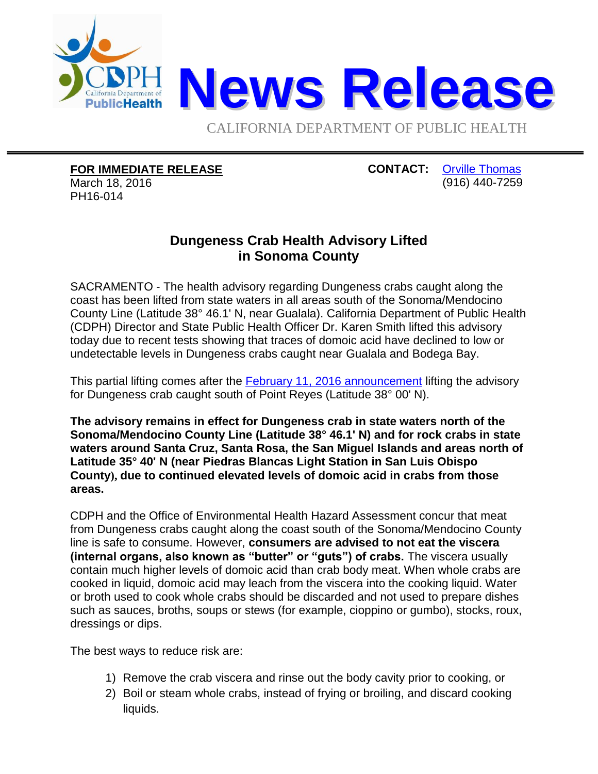

CALIFORNIA DEPARTMENT OF PUBLIC HEALTH

**FOR IMMEDIATE RELEASE**

March 18, 2016 PH16-014

**CONTACT:** [Orville Thomas](mailto:Orville.Thomas@cdph.ca.gov?subject=CDPH%20news%20release) (916) 440-7259

## **Dungeness Crab Health Advisory Lifted in Sonoma County**

SACRAMENTO - The health advisory regarding Dungeness crabs caught along the coast has been lifted from state waters in all areas south of the Sonoma/Mendocino County Line (Latitude 38° 46.1' N, near Gualala). California Department of Public Health (CDPH) Director and State Public Health Officer Dr. Karen Smith lifted this advisory today due to recent tests showing that traces of domoic acid have declined to low or undetectable levels in Dungeness crabs caught near Gualala and Bodega Bay.

This partial lifting comes after the **February 11, 2016 announcement lifting the advisory** for Dungeness crab caught south of Point Reyes (Latitude 38° 00' N).

**The advisory remains in effect for Dungeness crab in state waters north of the Sonoma/Mendocino County Line (Latitude 38° 46.1' N) and for rock crabs in state waters around Santa Cruz, Santa Rosa, the San Miguel Islands and areas north of Latitude 35° 40' N (near Piedras Blancas Light Station in San Luis Obispo County), due to continued elevated levels of domoic acid in crabs from those areas.**

CDPH and the Office of Environmental Health Hazard Assessment concur that meat from Dungeness crabs caught along the coast south of the Sonoma/Mendocino County line is safe to consume. However, **consumers are advised to not eat the viscera (internal organs, also known as "butter" or "guts") of crabs.** The viscera usually contain much higher levels of domoic acid than crab body meat. When whole crabs are cooked in liquid, domoic acid may leach from the viscera into the cooking liquid. Water or broth used to cook whole crabs should be discarded and not used to prepare dishes such as sauces, broths, soups or stews (for example, cioppino or gumbo), stocks, roux, dressings or dips.

The best ways to reduce risk are:

- 1) Remove the crab viscera and rinse out the body cavity prior to cooking, or
- 2) Boil or steam whole crabs, instead of frying or broiling, and discard cooking liquids.